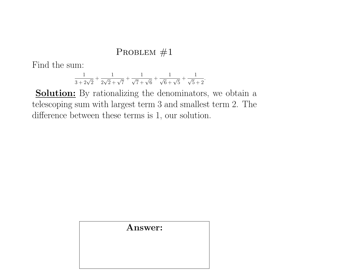Find the sum:

$$
\frac{1}{3+2\sqrt{2}} + \frac{1}{2\sqrt{2}+\sqrt{7}} + \frac{1}{\sqrt{7}+\sqrt{6}} + \frac{1}{\sqrt{6}+\sqrt{5}} + \frac{1}{\sqrt{5}+2}.
$$

**Solution:** By rationalizing the denominators, we obtain a telescoping sum with largest term 3 and smallest term 2. The difference between these terms is 1, our solution.

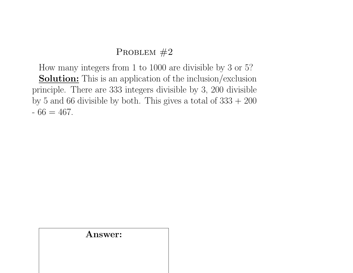How many integers from 1 to 1000 are divisible by 3 or 5? Solution: This is an application of the inclusion/exclusion principle. There are 333 integers divisible by 3, 200 divisible by 5 and 66 divisible by both. This gives a total of  $333 + 200$  $-66 = 467.$ 

#### Answer: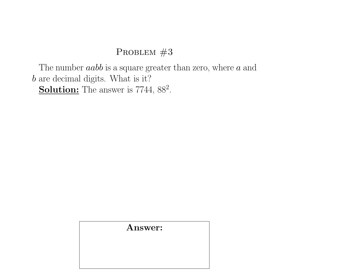The number  $aabb$  is a square greater than zero, where  $a$  and b are decimal digits. What is it? Solution: The answer is 7744, 88<sup>2</sup>.

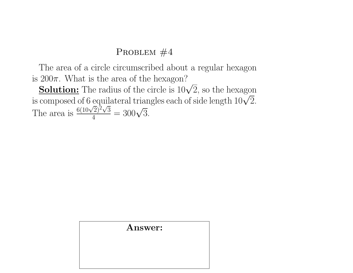The area of a circle circumscribed about a regular hexagon is  $200\pi$ . What is the area of the hexagon?

200π. What is the area of the nexagon:<br>**Solution:** The radius of the circle is  $10\sqrt{2}$ , so the hexagon **SOIUTION:** The radius of the circle is  $10\sqrt{2}$ , so the nexagon<br>is composed of 6 equilateral triangles each of side length  $10\sqrt{2}$ . The area is  $\frac{6(10\sqrt{}}{4})$  $\overline{2})^{\bar{2}}\sqrt{3}$  $\frac{(\frac{2}{2})^2 \sqrt{3}}{4} = 300\sqrt{3}.$ 

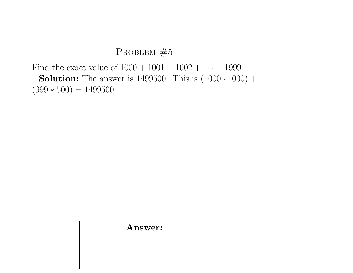Find the exact value of  $1000 + 1001 + 1002 + \cdots + 1999$ . **Solution:** The answer is 1499500. This is  $(1000 \cdot 1000)$  +  $(999 * 500) = 1499500.$ 

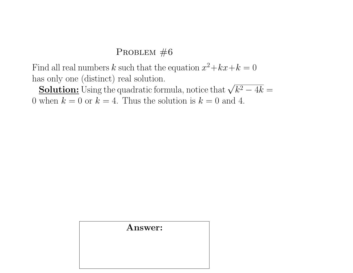Find all real numbers k such that the equation  $x^2 + kx + k = 0$ has only one (distinct) real solution.

as only one (distinct) real solution.<br>Solution: Using the quadratic formula, notice that  $\sqrt{k^2-4k}=1$ 0 when  $k = 0$  or  $k = 4$ . Thus the solution is  $k = 0$  and 4.

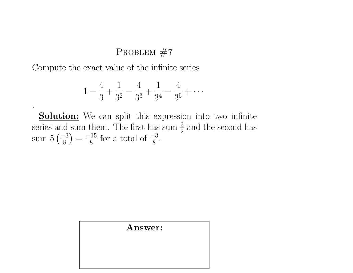Compute the exact value of the infinite series

.

$$
1 - \frac{4}{3} + \frac{1}{3^2} - \frac{4}{3^3} + \frac{1}{3^4} - \frac{4}{3^5} + \cdots
$$

**Solution:** We can split this expression into two infinite series and sum them. The first has sum  $\frac{3}{2}$  and the second has sum  $5\left(\frac{-3}{8}\right)$  $\frac{-3}{8}$ ) =  $\frac{-15}{8}$  $\frac{15}{8}$  for a total of  $\frac{-3}{8}$ .

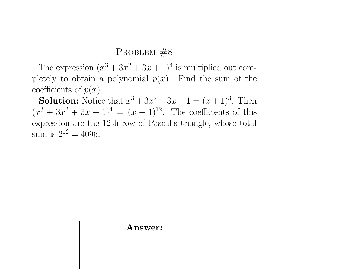The expression  $(x^3 + 3x^2 + 3x + 1)^4$  is multiplied out completely to obtain a polynomial  $p(x)$ . Find the sum of the coefficients of  $p(x)$ .

**Solution:** Notice that  $x^3 + 3x^2 + 3x + 1 = (x + 1)^3$ . Then  $(x^{3} + 3x^{2} + 3x + 1)^{4} = (x + 1)^{12}$ . The coefficients of this expression are the 12th row of Pascal's triangle, whose total sum is  $2^{12} = 4096$ .

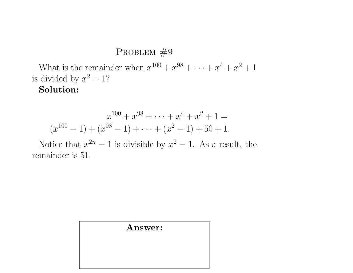What is the remainder when  $x^{100} + x^{98} + \cdots + x^4 + x^2 + 1$ is divided by  $x^2 - 1$ ?

## Solution:

$$
x^{100} + x^{98} + \dots + x^4 + x^2 + 1 =
$$
  

$$
(x^{100} - 1) + (x^{98} - 1) + \dots + (x^2 - 1) + 50 + 1.
$$

Notice that  $x^{2n} - 1$  is divisible by  $x^2 - 1$ . As a result, the remainder is 51.